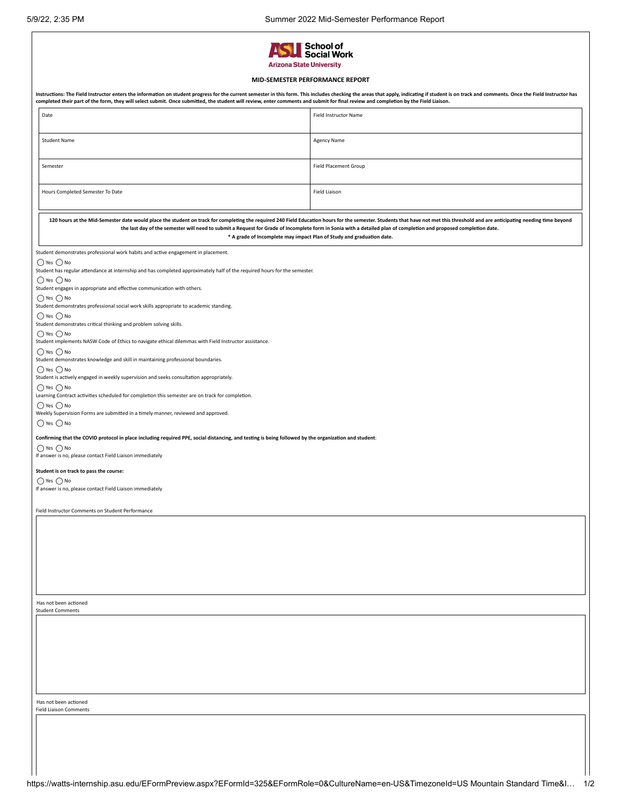| 5/9/22, 2:35 PM                                                                                                                                           | Summer 2022 Mid-Semester Performance Report                                                                                                                                                                                                                                                                                                                                                                                                                                  |
|-----------------------------------------------------------------------------------------------------------------------------------------------------------|------------------------------------------------------------------------------------------------------------------------------------------------------------------------------------------------------------------------------------------------------------------------------------------------------------------------------------------------------------------------------------------------------------------------------------------------------------------------------|
|                                                                                                                                                           | 'School of<br>Social Work<br><b>Arizona State University</b>                                                                                                                                                                                                                                                                                                                                                                                                                 |
|                                                                                                                                                           | MID-SEMESTER PERFORMANCE REPORT                                                                                                                                                                                                                                                                                                                                                                                                                                              |
|                                                                                                                                                           | Instructions: The Field Instructor enters the information on student progress for the current semester in this form. This includes checking the areas that apply, indicating if student is on track and comments. Once the Fie<br>completed their part of the form, they will select submit. Once submitted, the student will review, enter comments and submit for final review and completion by the Field Liaison.                                                        |
| Date                                                                                                                                                      | Field Instructor Name                                                                                                                                                                                                                                                                                                                                                                                                                                                        |
|                                                                                                                                                           |                                                                                                                                                                                                                                                                                                                                                                                                                                                                              |
| <b>Student Name</b>                                                                                                                                       | <b>Agency Name</b>                                                                                                                                                                                                                                                                                                                                                                                                                                                           |
| Semester                                                                                                                                                  | <b>Field Placement Group</b>                                                                                                                                                                                                                                                                                                                                                                                                                                                 |
| Hours Completed Semester To Date                                                                                                                          | <b>Field Liaison</b>                                                                                                                                                                                                                                                                                                                                                                                                                                                         |
|                                                                                                                                                           | 120 hours at the Mid-Semester date would place the student on track for completing the required 240 Field Education hours for the semester. Students that have not met this threshold and are anticipating needing time beyond<br>the last day of the semester will need to submit a Request for Grade of Incomplete form in Sonia with a detailed plan of completion and proposed completion date.<br>* A grade of Incomplete may impact Plan of Study and graduation date. |
| Student demonstrates professional work habits and active engagement in placement.                                                                         |                                                                                                                                                                                                                                                                                                                                                                                                                                                                              |
| $\bigcirc$ Yes $\bigcirc$ No<br>Student has regular attendance at internship and has completed approximately half of the required hours for the semester. |                                                                                                                                                                                                                                                                                                                                                                                                                                                                              |
| $\bigcap$ Yes $\bigcap$ No                                                                                                                                |                                                                                                                                                                                                                                                                                                                                                                                                                                                                              |
| Student engages in appropriate and effective communication with others.<br>$\bigcirc$ Yes $\bigcirc$ No                                                   |                                                                                                                                                                                                                                                                                                                                                                                                                                                                              |
| Student demonstrates professional social work skills appropriate to academic standing.<br>$\bigcirc$ Yes $\bigcirc$ No                                    |                                                                                                                                                                                                                                                                                                                                                                                                                                                                              |
| Student demonstrates critical thinking and problem solving skills.                                                                                        |                                                                                                                                                                                                                                                                                                                                                                                                                                                                              |
| $\bigcirc$ Yes $\bigcirc$ No<br>Student implements NASW Code of Ethics to navigate ethical dilemmas with Field Instructor assistance.                     |                                                                                                                                                                                                                                                                                                                                                                                                                                                                              |
| $\bigcirc$ Yes $\bigcirc$ No<br>Student demonstrates knowledge and skill in maintaining professional boundaries.                                          |                                                                                                                                                                                                                                                                                                                                                                                                                                                                              |
| $\bigcirc$ Yes $\bigcirc$ No                                                                                                                              |                                                                                                                                                                                                                                                                                                                                                                                                                                                                              |
| Student is actively engaged in weekly supervision and seeks consultation appropriately.<br>$\bigcap$ Yes $\bigcap$ No                                     |                                                                                                                                                                                                                                                                                                                                                                                                                                                                              |
| Learning Contract activities scheduled for completion this semester are on track for completion.                                                          |                                                                                                                                                                                                                                                                                                                                                                                                                                                                              |
| $\bigcirc$ Yes $\bigcirc$ No<br>Weekly Supervision Forms are submitted in a timely manner, reviewed and approved.<br>$\bigcirc$ Yes $\bigcirc$ No         |                                                                                                                                                                                                                                                                                                                                                                                                                                                                              |
|                                                                                                                                                           | Confirming that the COVID protocol in place including required PPE, social distancing, and testing is being followed by the organization and student:                                                                                                                                                                                                                                                                                                                        |
| $\bigcirc$ Yes $\bigcirc$ No<br>If answer is no, please contact Field Liaison immediately                                                                 |                                                                                                                                                                                                                                                                                                                                                                                                                                                                              |
| Student is on track to pass the course:                                                                                                                   |                                                                                                                                                                                                                                                                                                                                                                                                                                                                              |
| $\bigcirc$ Yes $\bigcirc$ No                                                                                                                              |                                                                                                                                                                                                                                                                                                                                                                                                                                                                              |
| If answer is no, please contact Field Liaison immediately                                                                                                 |                                                                                                                                                                                                                                                                                                                                                                                                                                                                              |
| Field Instructor Comments on Student Performance                                                                                                          |                                                                                                                                                                                                                                                                                                                                                                                                                                                                              |
|                                                                                                                                                           |                                                                                                                                                                                                                                                                                                                                                                                                                                                                              |
|                                                                                                                                                           |                                                                                                                                                                                                                                                                                                                                                                                                                                                                              |
|                                                                                                                                                           |                                                                                                                                                                                                                                                                                                                                                                                                                                                                              |
|                                                                                                                                                           |                                                                                                                                                                                                                                                                                                                                                                                                                                                                              |
|                                                                                                                                                           |                                                                                                                                                                                                                                                                                                                                                                                                                                                                              |
| Has not been actioned                                                                                                                                     |                                                                                                                                                                                                                                                                                                                                                                                                                                                                              |
| <b>Student Comments</b>                                                                                                                                   |                                                                                                                                                                                                                                                                                                                                                                                                                                                                              |
|                                                                                                                                                           |                                                                                                                                                                                                                                                                                                                                                                                                                                                                              |
|                                                                                                                                                           |                                                                                                                                                                                                                                                                                                                                                                                                                                                                              |
|                                                                                                                                                           |                                                                                                                                                                                                                                                                                                                                                                                                                                                                              |
|                                                                                                                                                           |                                                                                                                                                                                                                                                                                                                                                                                                                                                                              |
|                                                                                                                                                           |                                                                                                                                                                                                                                                                                                                                                                                                                                                                              |
| Has not been actioned<br><b>Field Liaison Comments</b>                                                                                                    |                                                                                                                                                                                                                                                                                                                                                                                                                                                                              |
|                                                                                                                                                           |                                                                                                                                                                                                                                                                                                                                                                                                                                                                              |

https://watts-internship.asu.edu/EFormPreview.aspx?EFormId=325&EFormRole=0&CultureName=en-US&TimezoneId=US Mountain Standard Time&I… 1/2